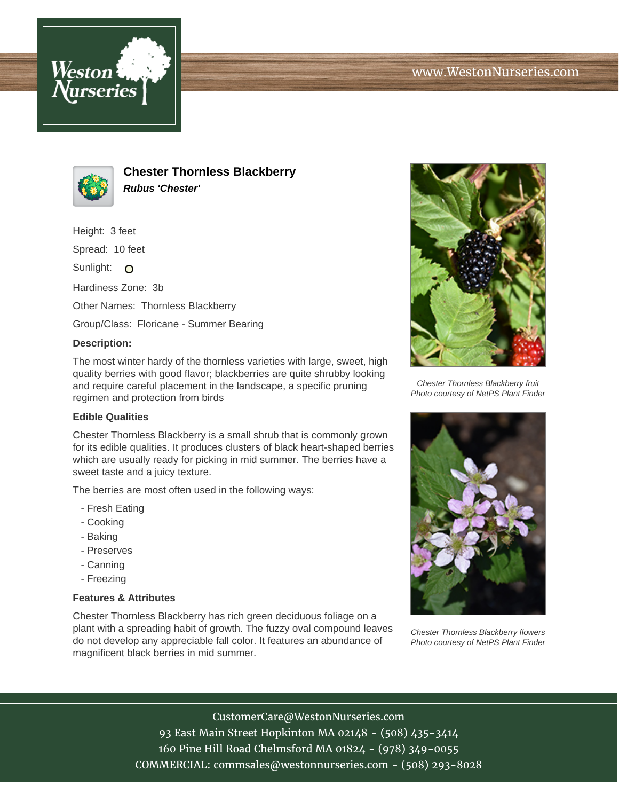



**Chester Thornless Blackberry Rubus 'Chester'**

Height: 3 feet

Spread: 10 feet

Sunlight: O

Hardiness Zone: 3b

Other Names: Thornless Blackberry

Group/Class: Floricane - Summer Bearing

## **Description:**

The most winter hardy of the thornless varieties with large, sweet, high quality berries with good flavor; blackberries are quite shrubby looking and require careful placement in the landscape, a specific pruning regimen and protection from birds

## **Edible Qualities**

Chester Thornless Blackberry is a small shrub that is commonly grown for its edible qualities. It produces clusters of black heart-shaped berries which are usually ready for picking in mid summer. The berries have a sweet taste and a juicy texture.

The berries are most often used in the following ways:

- Fresh Eating
- Cooking
- Baking
- Preserves
- Canning
- Freezing

## **Features & Attributes**

Chester Thornless Blackberry has rich green deciduous foliage on a plant with a spreading habit of growth. The fuzzy oval compound leaves do not develop any appreciable fall color. It features an abundance of magnificent black berries in mid summer.



Chester Thornless Blackberry fruit Photo courtesy of NetPS Plant Finder



Chester Thornless Blackberry flowers Photo courtesy of NetPS Plant Finder

CustomerCare@WestonNurseries.com 93 East Main Street Hopkinton MA 02148 - (508) 435-3414 160 Pine Hill Road Chelmsford MA 01824 - (978) 349-0055 COMMERCIAL: commsales@westonnurseries.com - (508) 293-8028